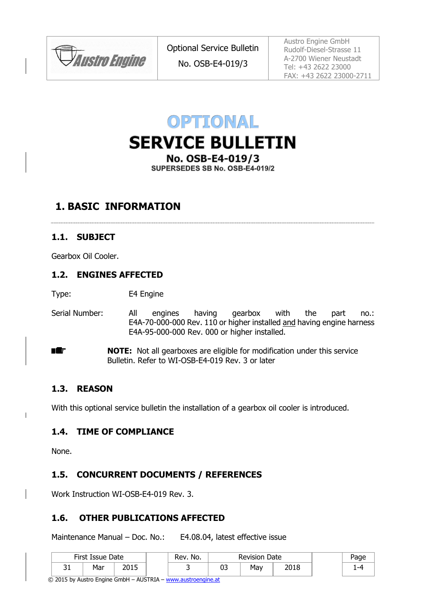

Austro Engine GmbH Rudolf-Diesel-Strasse 11 A-2700 Wiener Neustadt Tel: +43 2622 23000 FAX: +43 2622 23000-2711



**SERVICE BULLETIN** 

No. OSB-E4-019/3 SUPERSEDES SB No. OSB-E4-019/2

#### **1. BASIC INFORMATION**

#### **1.1. SUBJECT**

Gearbox Oil Cooler.

#### **1.2. ENGINES AFFECTED**

Type: E4 Engine

Serial Number: All engines having gearbox with the part no.: E4A-70-000-000 Rev. 110 or higher installed and having engine harness E4A-95-000-000 Rev. 000 or higher installed.

**NOTE:** Not all gearboxes are eligible for modification under this service ■鑑 Bulletin. Refer to WI-OSB-E4-019 Rev. 3 or later

#### **1.3. REASON**

With this optional service bulletin the installation of a gearbox oil cooler is introduced.

#### <span id="page-0-0"></span>**1.4. TIME OF COMPLIANCE**

None.

 $\overline{\phantom{a}}$ 

#### **1.5. CONCURRENT DOCUMENTS / REFERENCES**

Work Instruction WI-OSB-E4-019 Rev. 3.

#### **1.6. OTHER PUBLICATIONS AFFECTED**

Maintenance Manual – Doc. No.: E4.08.04, latest effective issue

| First Issue Date |     |      | No.<br>Rev. | <b>Revision Date</b> |    |      |  |
|------------------|-----|------|-------------|----------------------|----|------|--|
| . נ<br>ᇰᆂ        | Mar | ∠ບ⊥ປ |             | ∩−<br>ບວ             | Ma | 2018 |  |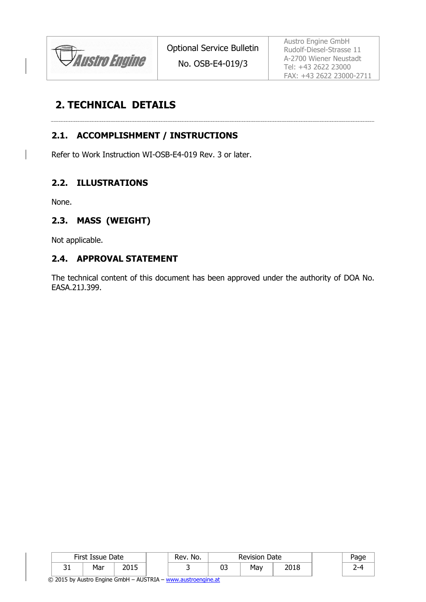

Austro Engine GmbH Rudolf-Diesel-Strasse 11 A-2700 Wiener Neustadt Tel: +43 2622 23000 FAX: +43 2622 23000-2711

#### No. OSB-E4-019/3

## **2. TECHNICAL DETAILS**

#### <span id="page-1-0"></span>**2.1. ACCOMPLISHMENT / INSTRUCTIONS**

Refer to Work Instruction WI-OSB-E4-019 Rev. 3 or later.

#### **2.2. ILLUSTRATIONS**

None.

#### **2.3. MASS (WEIGHT)**

Not applicable.

#### **2.4. APPROVAL STATEMENT**

The technical content of this document has been approved under the authority of DOA No. EASA.21J.399.

| First Issue Date |     |      | Rev. No.<br><b>Revision Date</b> |    |     | 'age |  |
|------------------|-----|------|----------------------------------|----|-----|------|--|
| n.<br>ັ          | Mar | 2015 |                                  | 03 | May | 2018 |  |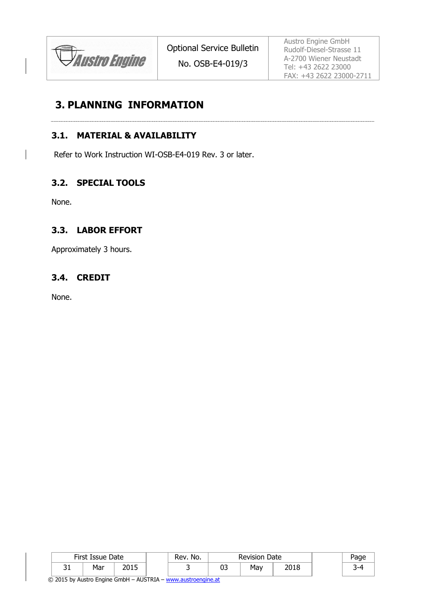

No. OSB-E4-019/3

Austro Engine GmbH Rudolf-Diesel-Strasse 11 A-2700 Wiener Neustadt Tel: +43 2622 23000 FAX: +43 2622 23000-2711

### **3. PLANNING INFORMATION**

# **3.1. MATERIAL & AVAILABILITY**

Refer to Work Instruction WI-OSB-E4-019 Rev. 3 or later.

#### **3.2. SPECIAL TOOLS**

None.

#### **3.3. LABOR EFFORT**

Approximately 3 hours.

#### **3.4. CREDIT**

None.

| First Issue Date |     |                | Rev. No. |    | <b>Revision Date</b> | Page |   |
|------------------|-----|----------------|----------|----|----------------------|------|---|
| ∽.<br>ັ          | Mar | ח ו חר<br>∠ບ⊥ບ |          | 03 | May                  | 2018 | ັ |